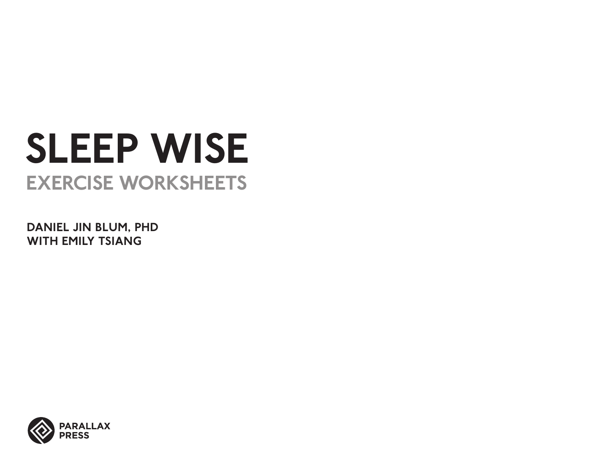# EXERCISE WORKSHEETS SLEEP WISE

DANIEL JIN BLUM, PHD WITH EMILY TSIANG

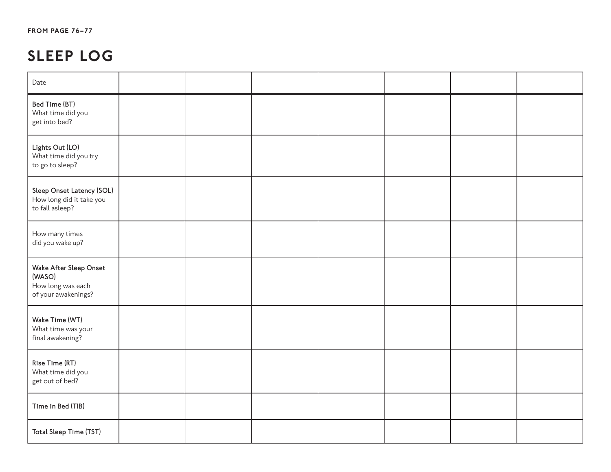## SLEEP LOG

| Date                                                                         |  |  |  |  |
|------------------------------------------------------------------------------|--|--|--|--|
| Bed Time (BT)<br>What time did you<br>get into bed?                          |  |  |  |  |
| Lights Out (LO)<br>What time did you try<br>to go to sleep?                  |  |  |  |  |
| Sleep Onset Latency (SOL)<br>How long did it take you<br>to fall asleep?     |  |  |  |  |
| How many times<br>did you wake up?                                           |  |  |  |  |
| Wake After Sleep Onset<br>(WASO)<br>How long was each<br>of your awakenings? |  |  |  |  |
| Wake Time (WT)<br>What time was your<br>final awakening?                     |  |  |  |  |
| Rise Time (RT)<br>What time did you<br>get out of bed?                       |  |  |  |  |
| Time in Bed (TIB)                                                            |  |  |  |  |
| Total Sleep Time (TST)                                                       |  |  |  |  |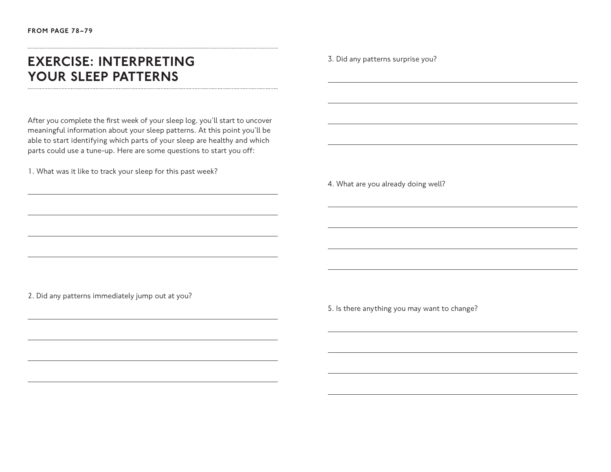## EXERCISE: INTERPRETING YOUR SLEEP PATTERNS

After you complete the first week of your sleep log, you'll start to uncover meaningful information about your sleep patterns. At this point you'll be able to start identifying which parts of your sleep are healthy and which parts could use a tune-up. Here are some questions to start you off:

1. What was it like to track your sleep for this past week?

3. Did any patterns surprise you?

4. What are you already doing well?

and the control of the control of the control of the control of the control of the control of the control of the

2. Did any patterns immediately jump out at you?

5. Is there anything you may want to change?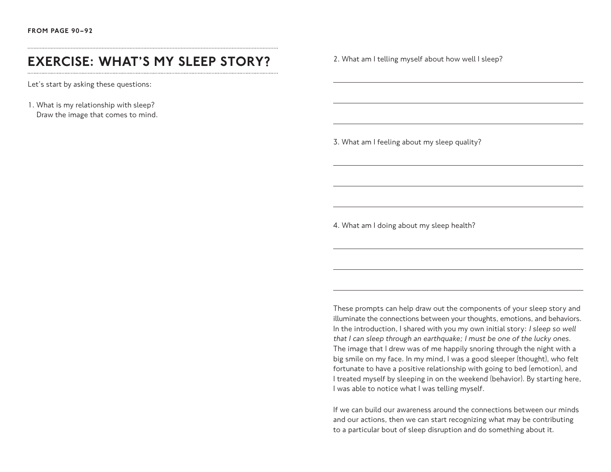## EXERCISE: WHAT'S MY SLEEP STORY?

Let's start by asking these questions:

1. What is my relationship with sleep? Draw the image that comes to mind. 2. What am I telling myself about how well I sleep?

3. What am I feeling about my sleep quality?

4. What am I doing about my sleep health?

These prompts can help draw out the components of your sleep story and illuminate the connections between your thoughts, emotions, and behaviors. In the introduction, I shared with you my own initial story: *I sleep so well that I can sleep through an earthquake; I must be one of the lucky ones.* The image that I drew was of me happily snoring through the night with a big smile on my face. In my mind, I was a good sleeper (thought), who felt fortunate to have a positive relationship with going to bed (emotion), and I treated myself by sleeping in on the weekend (behavior). By starting here, I was able to notice what I was telling myself.

If we can build our awareness around the connections between our minds and our actions, then we can start recognizing what may be contributing to a particular bout of sleep disruption and do something about it.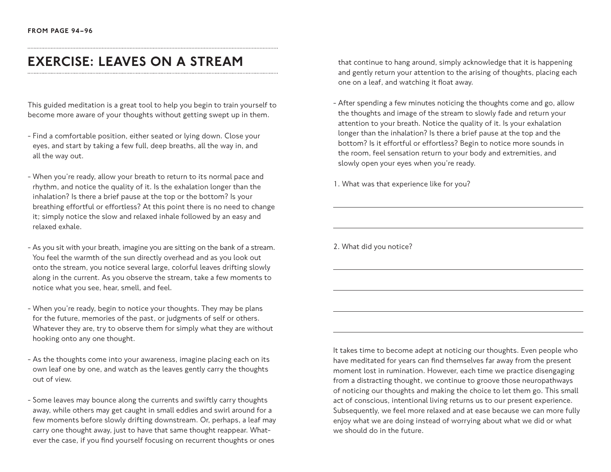## EXERCISE: LEAVES ON A STREAM

This guided meditation is a great tool to help you begin to train yourself to become more aware of your thoughts without getting swept up in them.

- Find a comfortable position, either seated or lying down. Close your eyes, and start by taking a few full, deep breaths, all the way in, and all the way out.
- When you're ready, allow your breath to return to its normal pace and rhythm, and notice the quality of it. Is the exhalation longer than the inhalation? Is there a brief pause at the top or the bottom? Is your breathing effortful or effortless? At this point there is no need to change it; simply notice the slow and relaxed inhale followed by an easy and relaxed exhale.
- As you sit with your breath, imagine you are sitting on the bank of a stream. You feel the warmth of the sun directly overhead and as you look out onto the stream, you notice several large, colorful leaves drifting slowly along in the current. As you observe the stream, take a few moments to notice what you see, hear, smell, and feel.
- When you're ready, begin to notice your thoughts. They may be plans for the future, memories of the past, or judgments of self or others. Whatever they are, try to observe them for simply what they are without hooking onto any one thought.
- As the thoughts come into your awareness, imagine placing each on its own leaf one by one, and watch as the leaves gently carry the thoughts out of view.
- Some leaves may bounce along the currents and swiftly carry thoughts away, while others may get caught in small eddies and swirl around for a few moments before slowly drifting downstream. Or, perhaps, a leaf may carry one thought away, just to have that same thought reappear. Whatever the case, if you find yourself focusing on recurrent thoughts or ones

that continue to hang around, simply acknowledge that it is happening and gently return your attention to the arising of thoughts, placing each one on a leaf, and watching it float away.

- After spending a few minutes noticing the thoughts come and go, allow the thoughts and image of the stream to slowly fade and return your attention to your breath. Notice the quality of it. Is your exhalation longer than the inhalation? Is there a brief pause at the top and the bottom? Is it effortful or effortless? Begin to notice more sounds in the room, feel sensation return to your body and extremities, and slowly open your eyes when you're ready.

1. What was that experience like for you?

2. What did you notice?

It takes time to become adept at noticing our thoughts. Even people who have meditated for years can find themselves far away from the present moment lost in rumination. However, each time we practice disengaging from a distracting thought, we continue to groove those neuropathways of noticing our thoughts and making the choice to let them go. This small act of conscious, intentional living returns us to our present experience. Subsequently, we feel more relaxed and at ease because we can more fully enjoy what we are doing instead of worrying about what we did or what we should do in the future.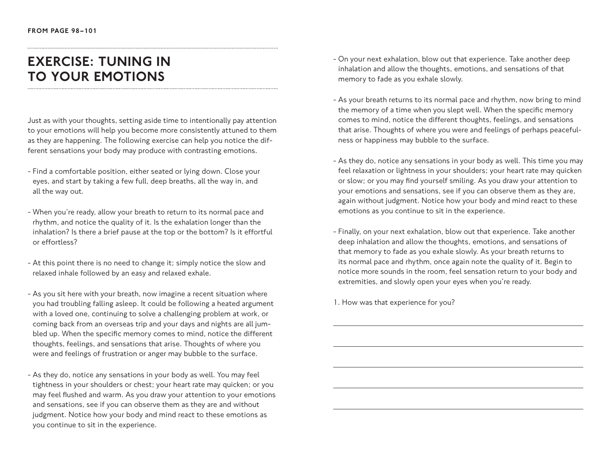## EXERCISE: TUNING IN TO YOUR EMOTIONS

Just as with your thoughts, setting aside time to intentionally pay attention to your emotions will help you become more consistently attuned to them as they are happening. The following exercise can help you notice the different sensations your body may produce with contrasting emotions.

- Find a comfortable position, either seated or lying down. Close your eyes, and start by taking a few full, deep breaths, all the way in, and all the way out.
- When you're ready, allow your breath to return to its normal pace and rhythm, and notice the quality of it. Is the exhalation longer than the inhalation? Is there a brief pause at the top or the bottom? Is it effortful or effortless?
- At this point there is no need to change it; simply notice the slow and relaxed inhale followed by an easy and relaxed exhale.
- As you sit here with your breath, now imagine a recent situation where you had troubling falling asleep. It could be following a heated argument with a loved one, continuing to solve a challenging problem at work, or coming back from an overseas trip and your days and nights are all jumbled up. When the specific memory comes to mind, notice the different thoughts, feelings, and sensations that arise. Thoughts of where you were and feelings of frustration or anger may bubble to the surface.
- As they do, notice any sensations in your body as well. You may feel tightness in your shoulders or chest; your heart rate may quicken; or you may feel flushed and warm. As you draw your attention to your emotions and sensations, see if you can observe them as they are and without judgment. Notice how your body and mind react to these emotions as you continue to sit in the experience.
- On your next exhalation, blow out that experience. Take another deep inhalation and allow the thoughts, emotions, and sensations of that memory to fade as you exhale slowly.
- As your breath returns to its normal pace and rhythm, now bring to mind the memory of a time when you slept well. When the specific memory comes to mind, notice the different thoughts, feelings, and sensations that arise. Thoughts of where you were and feelings of perhaps peacefulness or happiness may bubble to the surface.
- As they do, notice any sensations in your body as well. This time you may feel relaxation or lightness in your shoulders; your heart rate may quicken or slow; or you may find yourself smiling. As you draw your attention to your emotions and sensations, see if you can observe them as they are, again without judgment. Notice how your body and mind react to these emotions as you continue to sit in the experience.
- Finally, on your next exhalation, blow out that experience. Take another deep inhalation and allow the thoughts, emotions, and sensations of that memory to fade as you exhale slowly. As your breath returns to its normal pace and rhythm, once again note the quality of it. Begin to notice more sounds in the room, feel sensation return to your body and extremities, and slowly open your eyes when you're ready.
- 1. How was that experience for you?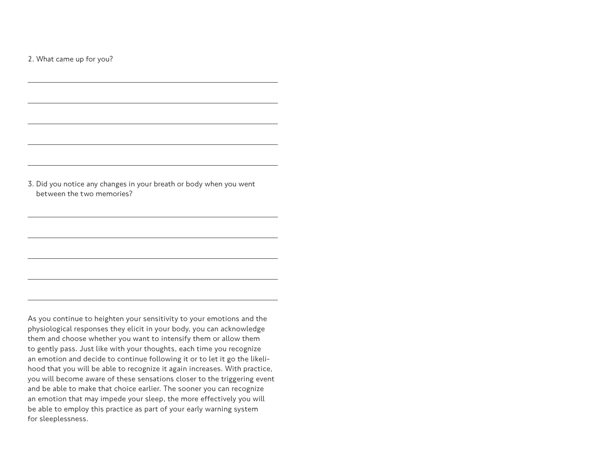2. What came up for you?

3. Did you notice any changes in your breath or body when you went between the two memories?

As you continue to heighten your sensitivity to your emotions and the physiological responses they elicit in your body, you can acknowledge them and choose whether you want to intensify them or allow them to gently pass. Just like with your thoughts, each time you recognize an emotion and decide to continue following it or to let it go the likelihood that you will be able to recognize it again increases. With practice, you will become aware of these sensations closer to the triggering event and be able to make that choice earlier. The sooner you can recognize an emotion that may impede your sleep, the more effectively you will be able to employ this practice as part of your early warning system for sleeplessness.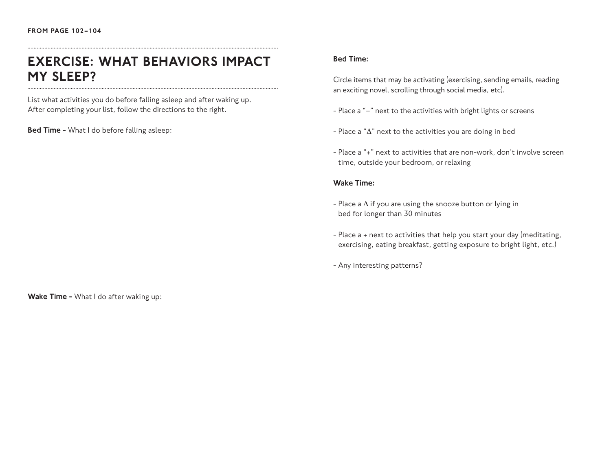## EXERCISE: WHAT BEHAVIORS IMPACT MY SLEEP?

List what activities you do before falling asleep and after waking up. After completing your list, follow the directions to the right.

Bed Time - What I do before falling asleep:

#### Bed Time:

Circle items that may be activating (exercising, sending emails, reading an exciting novel, scrolling through social media, etc).

- Place a "−" next to the activities with bright lights or screens
- Place a "Δ" next to the activities you are doing in bed
- Place a "+" next to activities that are non-work, don't involve screen time, outside your bedroom, or relaxing

#### Wake Time:

- Place a  $\Delta$  if you are using the snooze button or lying in bed for longer than 30 minutes
- Place a + next to activities that help you start your day (meditating, exercising, eating breakfast, getting exposure to bright light, etc.)
- Any interesting patterns?

Wake Time - What I do after waking up: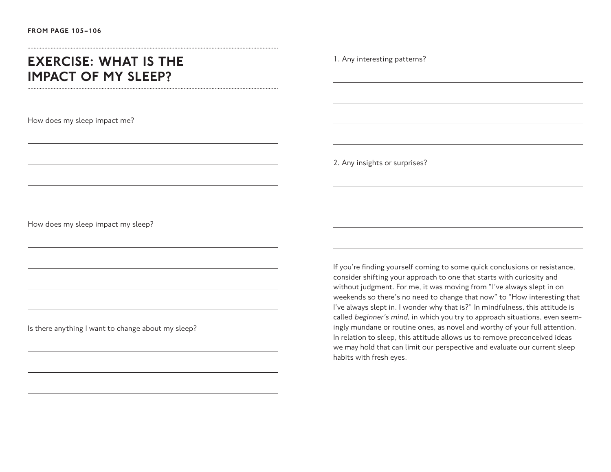## EXERCISE: WHAT IS THE IMPACT OF MY SLEEP?

How does my sleep impact me?

How does my sleep impact my sleep?

Is there anything I want to change about my sleep?

If you're finding yourself coming to some quick conclusions or resistance, consider shifting your approach to one that starts with curiosity and without judgment. For me, it was moving from "I've always slept in on weekends so there's no need to change that now" to "How interesting that I've always slept in. I wonder why that is?" In mindfulness, this attitude is called *beginner's mind,* in which you try to approach situations, even seemingly mundane or routine ones, as novel and worthy of your full attention. In relation to sleep, this attitude allows us to remove preconceived ideas we may hold that can limit our perspective and evaluate our current sleep habits with fresh eyes.

1. Any interesting patterns?

2. Any insights or surprises?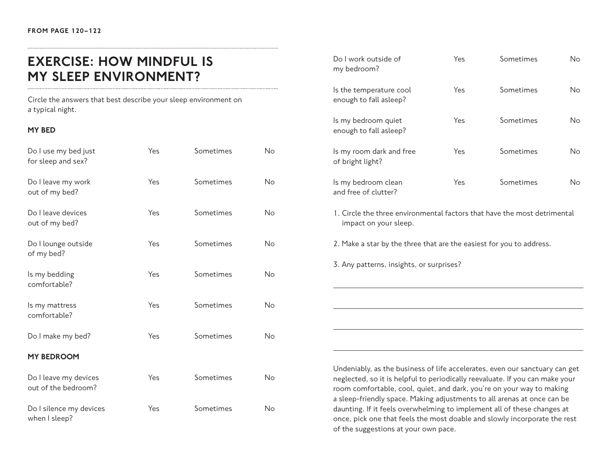## EXERCISE: HOW MINDFUL IS MY SLEEP ENVIRONMENT?

Circle the answers that best describe your sleep environment on a typical night.

#### MY BED

| Do I use my bed just<br>for sleep and sex?   | Yes | Sometimes | <b>No</b> |
|----------------------------------------------|-----|-----------|-----------|
| Do I leave my work<br>out of my bed?         | Yes | Sometimes | <b>No</b> |
| Do I leave devices<br>out of my bed?         | Yes | Sometimes | No        |
| Do I lounge outside<br>of my bed?            | Yes | Sometimes | <b>No</b> |
| Is my bedding<br>comfortable?                | Yes | Sometimes | <b>No</b> |
| Is my mattress<br>comfortable?               | Yes | Sometimes | <b>No</b> |
| Do I make my bed?                            | Yes | Sometimes | <b>No</b> |
| <b>MY BEDROOM</b>                            |     |           |           |
| Do I leave my devices<br>out of the bedroom? | Yes | Sometimes | <b>No</b> |
| Do I silence my devices<br>when I sleep?     | Yes | Sometimes | No        |

| Do I work outside of<br>my bedroom?                                                                                                                                                                                                  | Yes | Sometimes | No |
|--------------------------------------------------------------------------------------------------------------------------------------------------------------------------------------------------------------------------------------|-----|-----------|----|
| Is the temperature cool<br>enough to fall asleep?                                                                                                                                                                                    | Yes | Sometimes | No |
| Is my bedroom quiet<br>enough to fall asleep?                                                                                                                                                                                        | Yes | Sometimes | No |
| Is my room dark and free<br>of bright light?                                                                                                                                                                                         | Yes | Sometimes | No |
| Is my bedroom clean<br>and free of clutter?                                                                                                                                                                                          | Yes | Sometimes | No |
| 1. Circle the three environmental factors that have the most detrimental<br>impact on your sleep.                                                                                                                                    |     |           |    |
| 2. Make a star by the three that are the easiest for you to address.                                                                                                                                                                 |     |           |    |
| 3. Any patterns, insights, or surprises?                                                                                                                                                                                             |     |           |    |
|                                                                                                                                                                                                                                      |     |           |    |
|                                                                                                                                                                                                                                      |     |           |    |
|                                                                                                                                                                                                                                      |     |           |    |
| Undeniably, as the business of life accelerates, even our sanctuary can get<br>neglected, so it is helpful to periodically reevaluate. If you can make your<br>room comfortable, cool, quiet, and dark, you're on your way to making |     |           |    |

a sleep-friendly space. Making adjustments to all arenas at once can be daunting. If it feels overwhelming to implement all of these changes at once, pick one that feels the most doable and slowly incorporate the rest of the suggestions at your own pace.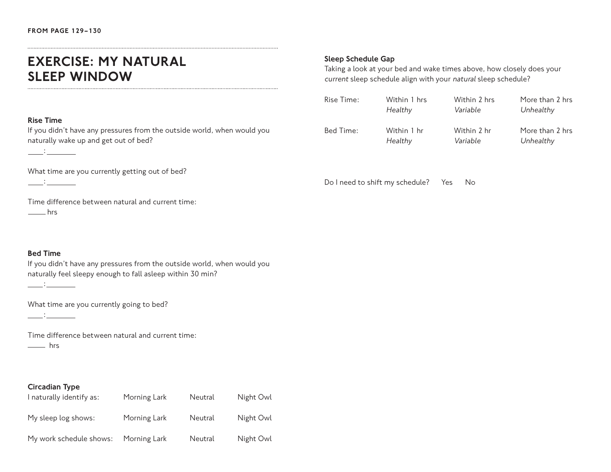## EXERCISE: MY NATURAL SLEEP WINDOW

#### Rise Time

If you didn't have any pressures from the outside world, when would you naturally wake up and get out of bed?

<u>: 1000 (1000)</u>

What time are you currently getting out of bed?

### $\begin{tabular}{ll} \hline \quad \quad & \quad \quad & \quad \quad \\ \hline \quad \quad & \quad \quad & \quad \quad \\ \hline \quad \quad & \quad \quad & \quad \quad \\ \hline \end{tabular}$

Time difference between natural and current time: hrs

### Bed Time

If you didn't have any pressures from the outside world, when would you naturally feel sleepy enough to fall asleep within 30 min?

<u>: 1999 : 1999 : 1999 : 1999 : 1999 : 1999 : 1999 : 1999 : 1999 : 1999 : 1999 : 1999 : 1999 : 1999 : 1999 : 19</u>

What time are you currently going to bed?

<u>: 1000 : 1000 : 1000 : 1000 : 1000 : 1000 : 1000 : 1000 : 1000 : 1000 : 1000 : 1000 : 1000 : 1000 : 1000 : 100</u>

|                          | Time difference between natural and current time: |
|--------------------------|---------------------------------------------------|
| $\rule{1em}{0.15mm}$ hrs |                                                   |

### Circadian Type

| I naturally identify as: | Morning Lark | Neutral | Night Owl |
|--------------------------|--------------|---------|-----------|
| My sleep log shows:      | Morning Lark | Neutral | Night Owl |
| My work schedule shows:  | Morning Lark | Neutral | Night Owl |

### Sleep Schedule Gap

Taking a look at your bed and wake times above, how closely does your *current* sleep schedule align with your *natural* sleep schedule?

| Rise Time: | Within 1 hrs | Within 2 hrs | More than 2 hrs |
|------------|--------------|--------------|-----------------|
|            | Healthy      | Variable     | Unhealthy       |
| Bed Time:  | Within 1 hr  | Within 2 hr  | More than 2 hrs |
|            | Healthy      | Variable     | Unhealthy       |

Do I need to shift my schedule? Yes No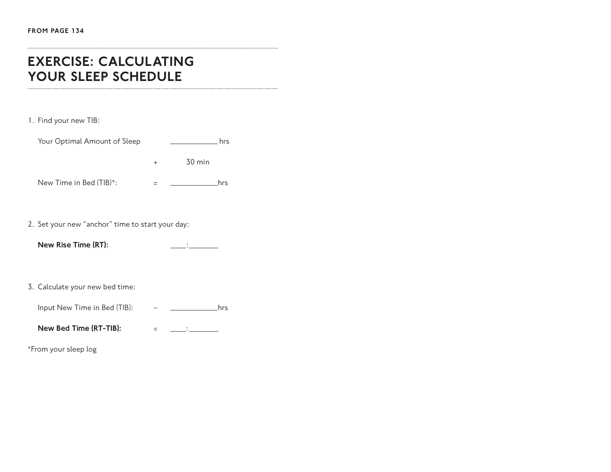## EXERCISE: CALCULATING YOUR SLEEP SCHEDULE

|  |  | 1. Find your new TIB: |  |  |
|--|--|-----------------------|--|--|
|--|--|-----------------------|--|--|

| Your Optimal Amount of Sleep | hrs    |
|------------------------------|--------|
|                              | 30 min |

New Time in Bed  $(TIB)^*$ :  $=$   $\frac{\qquad \qquad }{\qquad \qquad }$ hrs

2. Set your new "anchor" time to start your day:

New Rise Time (RT): :

### 3. Calculate your new bed time:

Input New Time in Bed (TIB): - \_ \_ \_ \_ \_ \_ \_ \_ \_ \_ \_ hrs

New Bed Time (RT-TIB):  $=$   $\frac{\qquad \qquad }{2}$ :

\*From your sleep log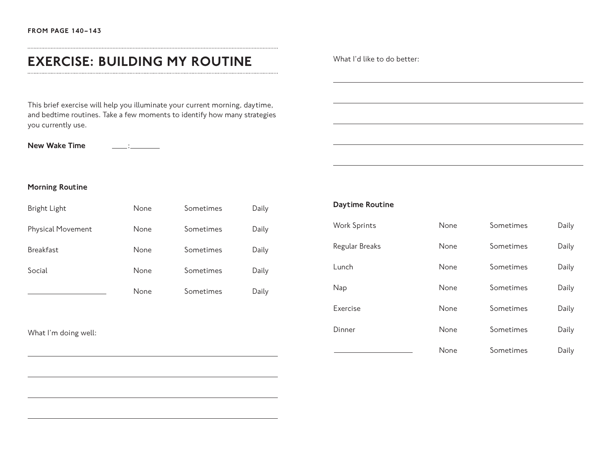## EXERCISE: BUILDING MY ROUTINE

This brief exercise will help you illuminate your current morning, daytime, and bedtime routines. Take a few moments to identify how many strategies you currently use.

 $\begin{minipage}{0.9\linewidth} \begin{tabular}{l} \hline \textbf{0.01} \end{tabular} \end{minipage} \begin{tabular}{l} \hline \textbf{1.01} \end{tabular} \end{minipage} \begin{tabular}{l} \hline \textbf{1.01} \end{tabular} \end{minipage} \begin{tabular}{l} \hline \textbf{2.01} \end{tabular} \end{minipage} \begin{tabular}{l} \hline \textbf{3.01} \end{tabular} \end{minipage} \begin{tabular}{l} \hline \textbf{4.01} \end{tabular} \end{minipage} \begin{tabular}{l} \$ 

New Wake Time **in the set of the UK** 

### Morning Routine

| Bright Light             | None | Sometimes | Daily |
|--------------------------|------|-----------|-------|
| <b>Physical Movement</b> | None | Sometimes | Daily |
| <b>Breakfast</b>         | None | Sometimes | Daily |
| Social                   | None | Sometimes | Daily |
|                          | None | Sometimes | Daily |

What I'm doing well:

What I'd like to do better:

### Daytime Routine

| Work Sprints   | None | Sometimes | Daily |
|----------------|------|-----------|-------|
| Regular Breaks | None | Sometimes | Daily |
| Lunch          | None | Sometimes | Daily |
| Nap            | None | Sometimes | Daily |
| Exercise       | None | Sometimes | Daily |
| Dinner         | None | Sometimes | Daily |
|                | None | Sometimes | Daily |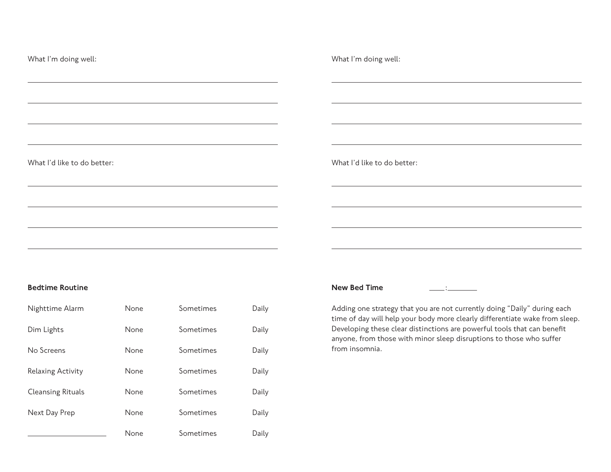What I'd like to do better:

What I'm doing well:

#### Bedtime Routine

| Nighttime Alarm          | None        | Sometimes | Daily |
|--------------------------|-------------|-----------|-------|
| Dim Lights               | <b>None</b> | Sometimes | Daily |
| No Screens               | None        | Sometimes | Daily |
| Relaxing Activity        | None        | Sometimes | Daily |
| <b>Cleansing Rituals</b> | <b>None</b> | Sometimes | Daily |
| Next Day Prep            | <b>None</b> | Sometimes | Daily |
|                          | None        | Sometimes | Daily |

What I'd like to do better:

What I'm doing well:

### New Bed Time **in the set of the set of the set of the set of the set of the set of the set of the set of the set o**

Adding one strategy that you are not currently doing "Daily" during each time of day will help your body more clearly differentiate wake from sleep. Developing these clear distinctions are powerful tools that can benefit anyone, from those with minor sleep disruptions to those who suffer from insomnia.

and the control of the control of the control of the control of the control of the control of the control of the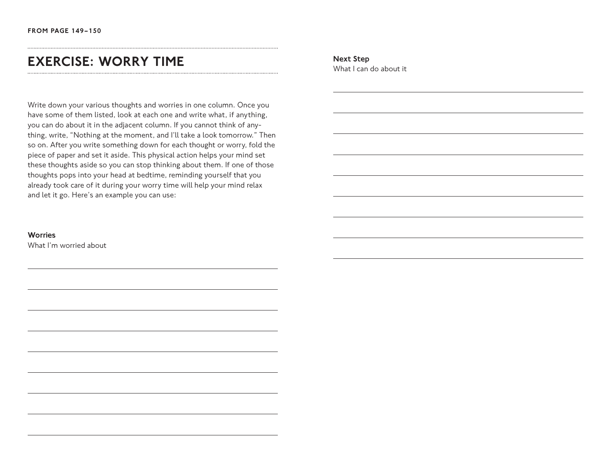## EXERCISE: WORRY TIME

Write down your various thoughts and worries in one column. Once you have some of them listed, look at each one and write what, if anything, you can do about it in the adjacent column. If you cannot think of anything, write, "Nothing at the moment, and I'll take a look tomorrow." Then so on. After you write something down for each thought or worry, fold the piece of paper and set it aside. This physical action helps your mind set these thoughts aside so you can stop thinking about them. If one of those thoughts pops into your head at bedtime, reminding yourself that you already took care of it during your worry time will help your mind relax and let it go. Here's an example you can use:

**Worries** 

What I'm worried about

Next Step What I can do about it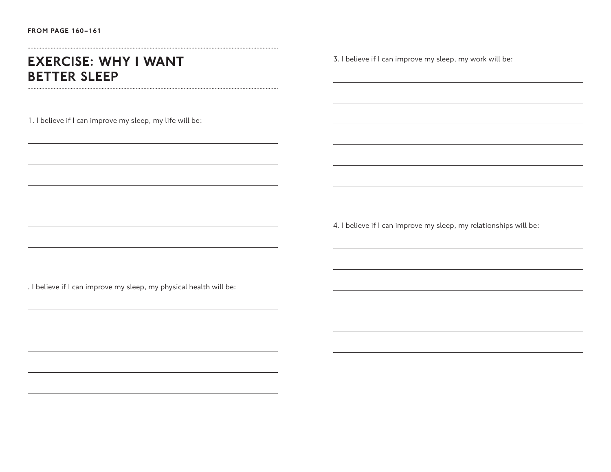## EXERCISE: WHY I WANT BETTER SLEEP

1. I believe if I can improve my sleep, my life will be:

3. I believe if I can improve my sleep, my work will be:

4. I believe if I can improve my sleep, my relationships will be:

. I believe if I can improve my sleep, my physical health will be: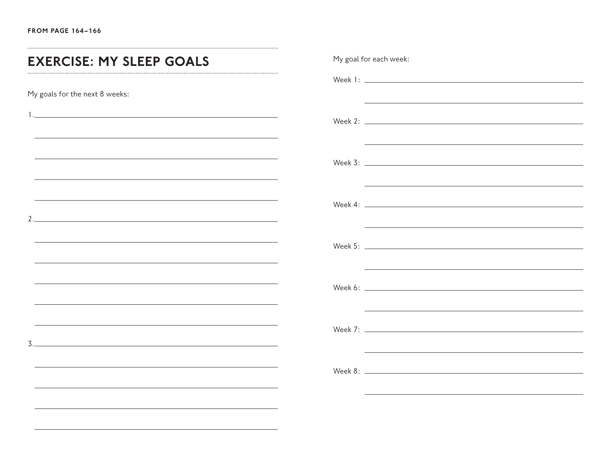| <b>EXERCISE: MY SLEEP GOALS</b>                                                                                                                                                                                                                                                                                                                       | My goal for each week:                                                                                                                                                                                                               |
|-------------------------------------------------------------------------------------------------------------------------------------------------------------------------------------------------------------------------------------------------------------------------------------------------------------------------------------------------------|--------------------------------------------------------------------------------------------------------------------------------------------------------------------------------------------------------------------------------------|
| My goals for the next 8 weeks:                                                                                                                                                                                                                                                                                                                        |                                                                                                                                                                                                                                      |
|                                                                                                                                                                                                                                                                                                                                                       | the control of the control of the control of the control of the control of the control of the control of the control of the control of the control of the control of the control of the control of the control of the control        |
| <u> 1989 - Johann Harry Harry Harry Harry Harry Harry Harry Harry Harry Harry Harry Harry Harry Harry Harry Harry</u>                                                                                                                                                                                                                                 |                                                                                                                                                                                                                                      |
|                                                                                                                                                                                                                                                                                                                                                       | <u> 1989 - Johann Stoff, amerikansk politiker (* 1908)</u>                                                                                                                                                                           |
| <u> 1989 - Johann Stoff, amerikansk politiker (d. 1989)</u>                                                                                                                                                                                                                                                                                           |                                                                                                                                                                                                                                      |
| <u> 1989 - Johann Stoff, deutscher Stoff, der Stoff, der Stoff, der Stoff, der Stoff, der Stoff, der Stoff, der S</u>                                                                                                                                                                                                                                 | <u> 1989 - Andrea Stadt Britain, amerikansk fotograf i den stadt fotograf i den stadt fotograf i den stadt fotogr</u>                                                                                                                |
|                                                                                                                                                                                                                                                                                                                                                       |                                                                                                                                                                                                                                      |
| <u> 1989 - Andrea Station Barbara, amerikan personal di sebagai personal di sebagai personal di sebagai personal</u><br>the control of the control of the control of the control of the control of the control of the control of the control of the control of the control of the control of the control of the control of the control of the control | Week 5: <u>All Communications and the second contract of the second contract of the second contract of the second contract of the second contract of the second contract of the second contract of the second contract of the se</u> |
|                                                                                                                                                                                                                                                                                                                                                       | <u>some started and the started and the started and the started and the started and the started and the started and the started and the started and the started and the started and the started and the started and the started </u> |
| and the control of the control of the control of the control of the control of the control of the control of the                                                                                                                                                                                                                                      | <u> 1999 - Johann Stoff, deutscher Stoffen und der Stoffen und der Stoffen und der Stoffen und der Stoffen und der</u>                                                                                                               |
|                                                                                                                                                                                                                                                                                                                                                       |                                                                                                                                                                                                                                      |
| the control of the control of the control of the control of the control of the control of the control of the control of the control of the control of the control of the control of the control of the control of the control                                                                                                                         | <u> 1989 - Johann Stoff, amerikansk politiker (d. 1989)</u>                                                                                                                                                                          |
| the control of the control of the control of the control of the control of the control of the control of the control of the control of the control of the control of the control of the control of the control of the control                                                                                                                         |                                                                                                                                                                                                                                      |
|                                                                                                                                                                                                                                                                                                                                                       |                                                                                                                                                                                                                                      |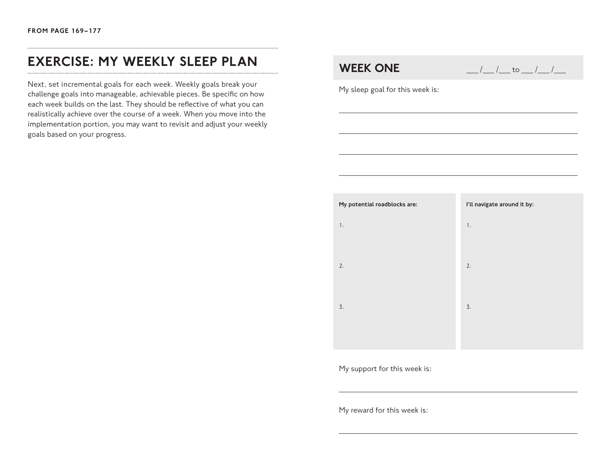## EXERCISE: MY WEEKLY SLEEP PLAN

Next, set incremental goals for each week. Weekly goals break your challenge goals into manageable, achievable pieces. Be specific on how each week builds on the last. They should be reflective of what you can realistically achieve over the course of a week. When you move into the implementation portion, you may want to revisit and adjust your weekly goals based on your progress.

. . . . . . . . . . . . . . . .

**WEEK ONE**  $\frac{1}{2}$  /  $\frac{1}{2}$  to  $\frac{1}{2}$  /  $\frac{1}{2}$ 

My sleep goal for this week is:

| My potential roadblocks are: | I'll navigate around it by: |
|------------------------------|-----------------------------|
| 1.                           | 1.                          |
|                              |                             |
| 2.                           | 2.                          |
|                              |                             |
| 3.                           | 3.                          |
|                              |                             |
|                              |                             |

My support for this week is: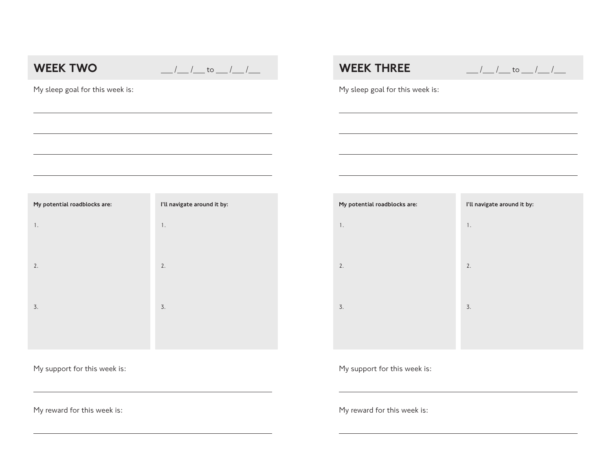



My sleep goal for this week is:

| My potential roadblocks are: | I'll navigate around it by: |
|------------------------------|-----------------------------|
| 1.                           | 1.                          |
|                              |                             |
| 2.                           | 2.                          |
|                              |                             |
| 3.                           | $\overline{3}$ .            |
|                              |                             |
|                              |                             |

My support for this week is:

My reward for this week is:

| My potential roadblocks are: | I'll navigate around it by: |
|------------------------------|-----------------------------|
| 1.                           | 1.                          |
|                              |                             |
| 2.                           | 2.                          |
|                              |                             |
| 3.                           | 3.                          |
|                              |                             |
|                              |                             |

My support for this week is: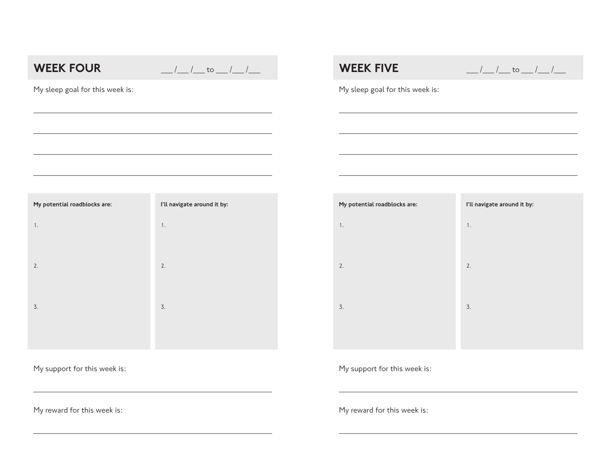

WEEK FIVE  $\underline{\hspace{1cm}}/\underline{\hspace{1cm}}/\underline{\hspace{1cm}}$  to  $\underline{\hspace{1cm}}/\underline{\hspace{1cm}}/\underline{\hspace{1cm}}$ 

My sleep goal for this week is:

| My potential roadblocks are: | I'll navigate around it by: |
|------------------------------|-----------------------------|
| 1.                           | 1.                          |
|                              |                             |
| 2.                           | 2.                          |
|                              |                             |
| 3.                           | $\overline{3}$ .            |
|                              |                             |
|                              |                             |

My support for this week is:

My reward for this week is:

| My potential roadblocks are: | I'll navigate around it by: |
|------------------------------|-----------------------------|
| 1.                           | 1.                          |
|                              |                             |
| 2.                           | 2.                          |
|                              |                             |
| 3.                           | 3.                          |
|                              |                             |
|                              |                             |

My support for this week is: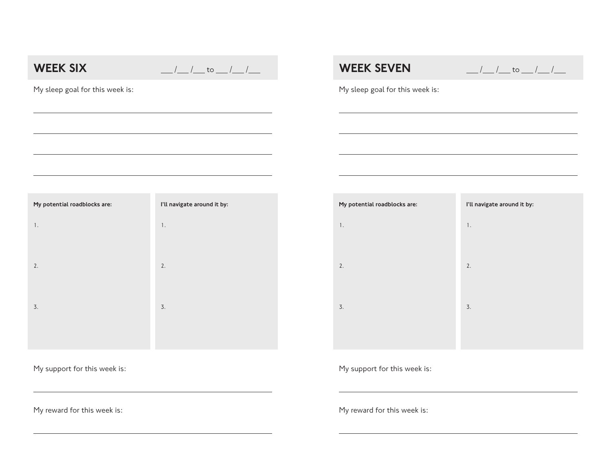



My sleep goal for this week is:

| My potential roadblocks are: | I'll navigate around it by: |
|------------------------------|-----------------------------|
| 1.                           | 1.                          |
|                              |                             |
| 2.                           | 2.                          |
|                              |                             |
| 3.                           | 3.                          |
|                              |                             |
|                              |                             |

My support for this week is:

My reward for this week is:

| My potential roadblocks are: | I'll navigate around it by: |
|------------------------------|-----------------------------|
| 1.                           | 1.                          |
|                              |                             |
| 2.                           | 2.                          |
|                              |                             |
| 3.                           | 3.                          |
|                              |                             |
|                              |                             |

My support for this week is: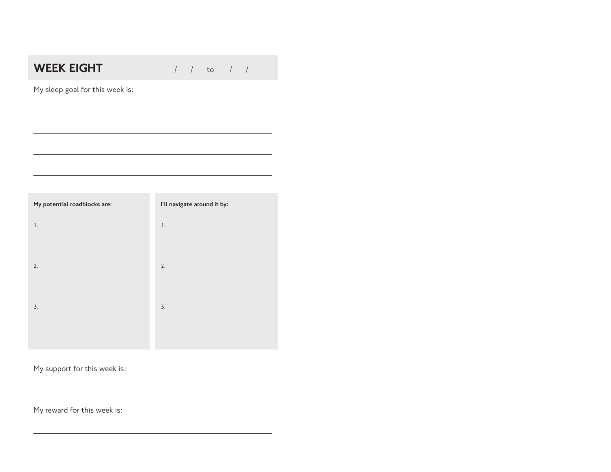

My potential roadblocks are: Itll navigate around it by: 1. 1.  $2.$  $3.$ 

My support for this week is: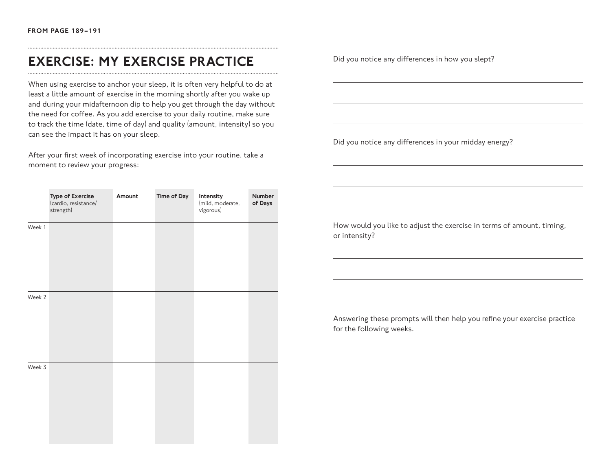## EXERCISE: MY EXERCISE PRACTICE

When using exercise to anchor your sleep, it is often very helpful to do at least a little amount of exercise in the morning shortly after you wake up and during your midafternoon dip to help you get through the day without the need for coffee. As you add exercise to your daily routine, make sure to track the time (date, time of day) and quality (amount, intensity) so you can see the impact it has on your sleep.

After your first week of incorporating exercise into your routine, take a moment to review your progress:

|        | <b>Type of Exercise</b><br>(cardio, resistance/<br>strength) | Amount | Time of Day | Intensity<br>(mild, moderate,<br>vigorous) | Number<br>of Days |
|--------|--------------------------------------------------------------|--------|-------------|--------------------------------------------|-------------------|
| Week 1 |                                                              |        |             |                                            |                   |
|        |                                                              |        |             |                                            |                   |
|        |                                                              |        |             |                                            |                   |
| Week 2 |                                                              |        |             |                                            |                   |
|        |                                                              |        |             |                                            |                   |
|        |                                                              |        |             |                                            |                   |
| Week 3 |                                                              |        |             |                                            |                   |
|        |                                                              |        |             |                                            |                   |
|        |                                                              |        |             |                                            |                   |
|        |                                                              |        |             |                                            |                   |

Did you notice any differences in how you slept?

Did you notice any differences in your midday energy?

How would you like to adjust the exercise in terms of amount, timing, or intensity?

Answering these prompts will then help you refine your exercise practice for the following weeks.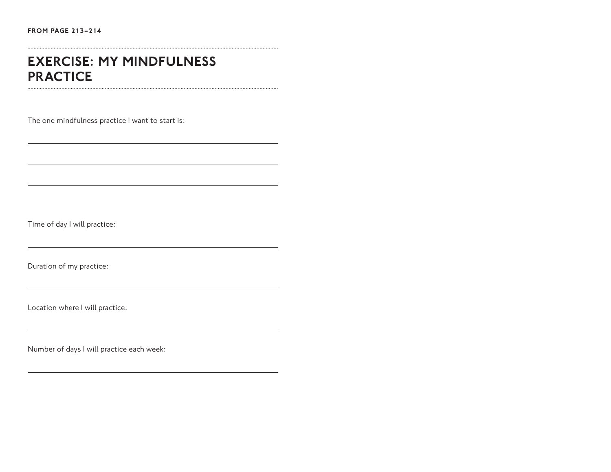## EXERCISE: MY MINDFULNESS PRACTICE

The one mindfulness practice I want to start is:

Time of day I will practice:

Duration of my practice:

Location where I will practice:

Number of days I will practice each week: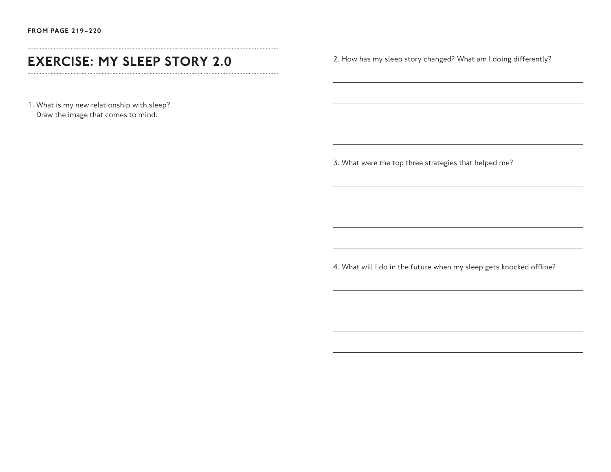## EXERCISE: MY SLEEP STORY 2.0

1. What is my new relationship with sleep? Draw the image that comes to mind.

2. How has my sleep story changed? What am I doing differently?

3. What were the top three strategies that helped me?

4. What will I do in the future when my sleep gets knocked offline?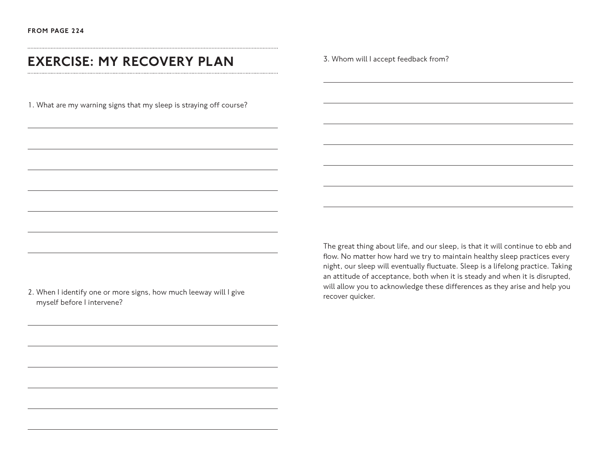## EXERCISE: MY RECOVERY PLAN

1. What are my warning signs that my sleep is straying off course?

2. When I identify one or more signs, how much leeway will I give myself before I intervene?

The great thing about life, and our sleep, is that it will continue to ebb and flow. No matter how hard we try to maintain healthy sleep practices every night, our sleep will eventually fluctuate. Sleep is a lifelong practice. Taking an attitude of acceptance, both when it is steady and when it is disrupted, will allow you to acknowledge these differences as they arise and help you recover quicker.

3. Whom will I accept feedback from?